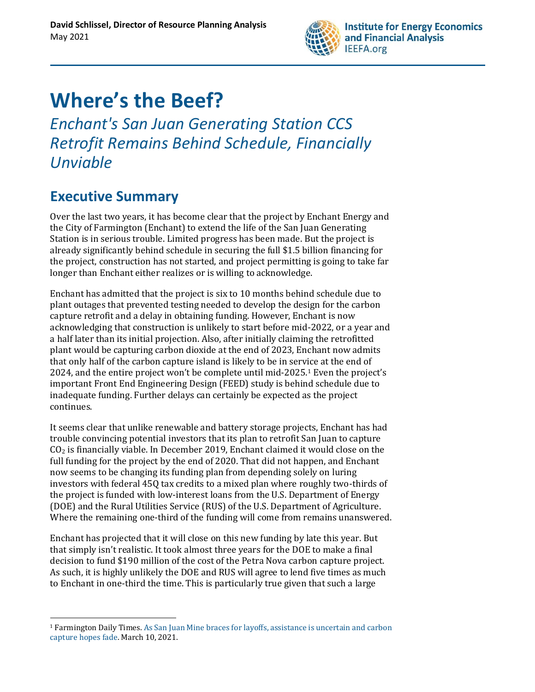

# **Where's the Beef?**

*Enchant's San Juan Generating Station CCS Retrofit Remains Behind Schedule, Financially Unviable*

# **Executive Summary**

Over the last two years, it has become clear that the project by Enchant Energy and the City of Farmington (Enchant) to extend the life of the San Juan Generating Station is in serious trouble. Limited progress has been made. But the project is already significantly behind schedule in securing the full \$1.5 billion financing for the project, construction has not started, and project permitting is going to take far longer than Enchant either realizes or is willing to acknowledge.

Enchant has admitted that the project is six to 10 months behind schedule due to plant outages that prevented testing needed to develop the design for the carbon capture retrofit and a delay in obtaining funding. However, Enchant is now acknowledging that construction is unlikely to start before mid-2022, or a year and a half later than its initial projection. Also, after initially claiming the retrofitted plant would be capturing carbon dioxide at the end of 2023, Enchant now admits that only half of the carbon capture island is likely to be in service at the end of 2024, and the entire project won't be complete until mid-2025.<sup>1</sup> Even the project's important Front End Engineering Design (FEED) study is behind schedule due to inadequate funding. Further delays can certainly be expected as the project continues.

It seems clear that unlike renewable and battery storage projects, Enchant has had trouble convincing potential investors that its plan to retrofit San Juan to capture  $CO<sub>2</sub>$  is financially viable. In December 2019, Enchant claimed it would close on the full funding for the project by the end of 2020. That did not happen, and Enchant now seems to be changing its funding plan from depending solely on luring investors with federal 45Q tax credits to a mixed plan where roughly two-thirds of the project is funded with low-interest loans from the U.S. Department of Energy (DOE) and the Rural Utilities Service (RUS) of the U.S. Department of Agriculture. Where the remaining one-third of the funding will come from remains unanswered.

Enchant has projected that it will close on this new funding by late this year. But that simply isn't realistic. It took almost three years for the DOE to make a final decision to fund \$190 million of the cost of the Petra Nova carbon capture project. As such, it is highly unlikely the DOE and RUS will agree to lend five times as much to Enchant in one-third the time. This is particularly true given that such a large

<sup>1</sup> Farmington Daily Times. [As San Juan Mine braces for layoffs, assistance is uncertain and carbon](https://www.daily-times.com/story/news/2021/03/10/san-juan-nm-mine-workers-face-layoffs-new-mexico/6922477002/)  [capture hopes fade.](https://www.daily-times.com/story/news/2021/03/10/san-juan-nm-mine-workers-face-layoffs-new-mexico/6922477002/) March 10, 2021.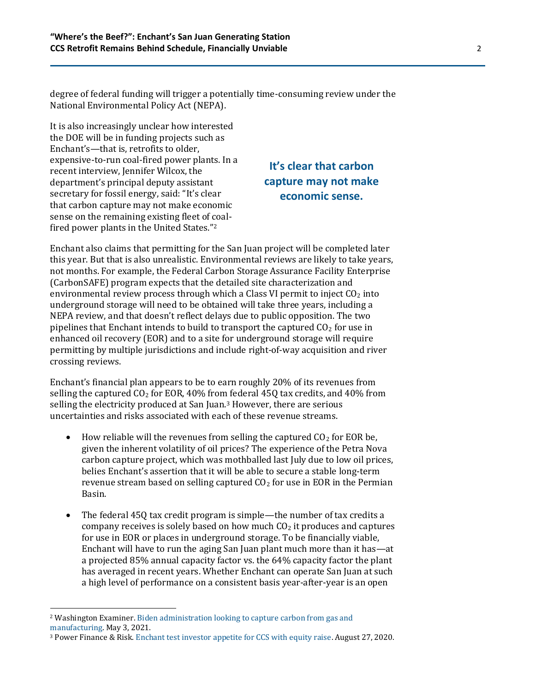degree of federal funding will trigger a potentially time-consuming review under the National Environmental Policy Act (NEPA).

It is also increasingly unclear how interested the DOE will be in funding projects such as Enchant's—that is, retrofits to older, expensive-to-run coal-fired power plants. In a recent interview, Jennifer Wilcox, the department's principal deputy assistant secretary for fossil energy, said: "It's clear that carbon capture may not make economic sense on the remaining existing fleet of coalfired power plants in the United States."<sup>2</sup>

#### **It's clear that carbon capture may not make economic sense.**

Enchant also claims that permitting for the San Juan project will be completed later this year. But that is also unrealistic. Environmental reviews are likely to take years, not months. For example, the Federal Carbon Storage Assurance Facility Enterprise (CarbonSAFE) program expects that the detailed site characterization and environmental review process through which a Class VI permit to inject  $CO<sub>2</sub>$  into underground storage will need to be obtained will take three years, including a NEPA review, and that doesn't reflect delays due to public opposition. The two pipelines that Enchant intends to build to transport the captured  $CO<sub>2</sub>$  for use in enhanced oil recovery (EOR) and to a site for underground storage will require permitting by multiple jurisdictions and include right-of-way acquisition and river crossing reviews.

Enchant's financial plan appears to be to earn roughly 20% of its revenues from selling the captured  $CO<sub>2</sub>$  for EOR, 40% from federal 45Q tax credits, and 40% from selling the electricity produced at San Juan.<sup>3</sup> However, there are serious uncertainties and risks associated with each of these revenue streams.

- How reliable will the revenues from selling the captured  $CO<sub>2</sub>$  for EOR be, given the inherent volatility of oil prices? The experience of the Petra Nova carbon capture project, which was mothballed last July due to low oil prices, belies Enchant's assertion that it will be able to secure a stable long-term revenue stream based on selling captured  $CO<sub>2</sub>$  for use in EOR in the Permian Basin.
- The federal 45Q tax credit program is simple—the number of tax credits a company receives is solely based on how much  $CO<sub>2</sub>$  it produces and captures for use in EOR or places in underground storage. To be financially viable, Enchant will have to run the aging San Juan plant much more than it has—at a projected 85% annual capacity factor vs. the 64% capacity factor the plant has averaged in recent years. Whether Enchant can operate San Juan at such a high level of performance on a consistent basis year-after-year is an open

<sup>2</sup> Washington Examiner[. Biden administration looking to capture carbon from gas and](https://www.washingtonexaminer.com/policy/biden-carbon-capture-focus-gas-industry-not-coal)  [manufacturing.](https://www.washingtonexaminer.com/policy/biden-carbon-capture-focus-gas-industry-not-coal) May 3, 2021.

<sup>3</sup> Power Finance & Risk[. Enchant test investor appetite for CCS with equity raise.](http://www.powerfinancerisk.com/Article/3948433/Enchant-tests-investor-appetite-for-CCS-with-equity-raise.html) August 27, 2020.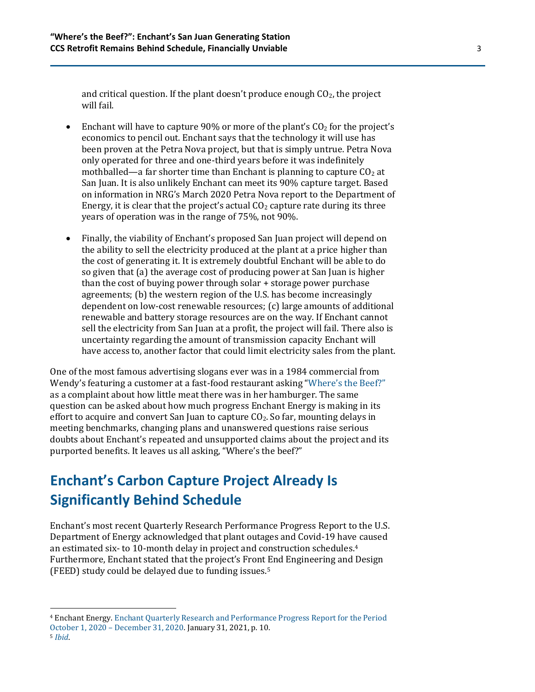and critical question. If the plant doesn't produce enough  $CO<sub>2</sub>$ , the project will fail.

- Enchant will have to capture 90% or more of the plant's  $CO<sub>2</sub>$  for the project's economics to pencil out. Enchant says that the technology it will use has been proven at the Petra Nova project, but that is simply untrue. Petra Nova only operated for three and one-third years before it was indefinitely mothballed—a far shorter time than Enchant is planning to capture  $CO<sub>2</sub>$  at San Juan. It is also unlikely Enchant can meet its 90% capture target. Based on information in NRG's March 2020 Petra Nova report to the Department of Energy, it is clear that the project's actual  $CO<sub>2</sub>$  capture rate during its three years of operation was in the range of 75%, not 90%.
- Finally, the viability of Enchant's proposed San Juan project will depend on the ability to sell the electricity produced at the plant at a price higher than the cost of generating it. It is extremely doubtful Enchant will be able to do so given that (a) the average cost of producing power at San Juan is higher than the cost of buying power through solar + storage power purchase agreements; (b) the western region of the U.S. has become increasingly dependent on low-cost renewable resources; (c) large amounts of additional renewable and battery storage resources are on the way. If Enchant cannot sell the electricity from San Juan at a profit, the project will fail. There also is uncertainty regarding the amount of transmission capacity Enchant will have access to, another factor that could limit electricity sales from the plant.

One of the most famous advertising slogans ever was in a 1984 commercial from Wendy's featuring a customer at a fast-food restaurant asking ["Where's the Beef?"](https://www.youtube.com/watch?v=U80ebi4AKgs) as a complaint about how little meat there was in her hamburger. The same question can be asked about how much progress Enchant Energy is making in its effort to acquire and convert San Juan to capture  $CO<sub>2</sub>$ . So far, mounting delays in meeting benchmarks, changing plans and unanswered questions raise serious doubts about Enchant's repeated and unsupported claims about the project and its purported benefits. It leaves us all asking, "Where's the beef?"

# **Enchant's Carbon Capture Project Already Is Significantly Behind Schedule**

Enchant's most recent Quarterly Research Performance Progress Report to the U.S. Department of Energy acknowledged that plant outages and Covid-19 have caused an estimated six- to 10-month delay in project and construction schedules.<sup>4</sup> Furthermore, Enchant stated that the project's Front End Engineering and Design (FEED) study could be delayed due to funding issues.<sup>5</sup>

<sup>4</sup> Enchant Energy[. Enchant Quarterly Research and Performance Progress Report for the Period](http://ieefa.org/wp-content/uploads/2021/05/Enchant-Energy-Quarterly-perform-Jan-2021.pdf)  October 1, 2020 – [December 31, 2020.](http://ieefa.org/wp-content/uploads/2021/05/Enchant-Energy-Quarterly-perform-Jan-2021.pdf) January 31, 2021, p. 10.

<sup>5</sup> *[Ibid](http://ieefa.org/wp-content/uploads/2021/05/Enchant-Energy-Quarterly-perform-Jan-2021.pdf)*.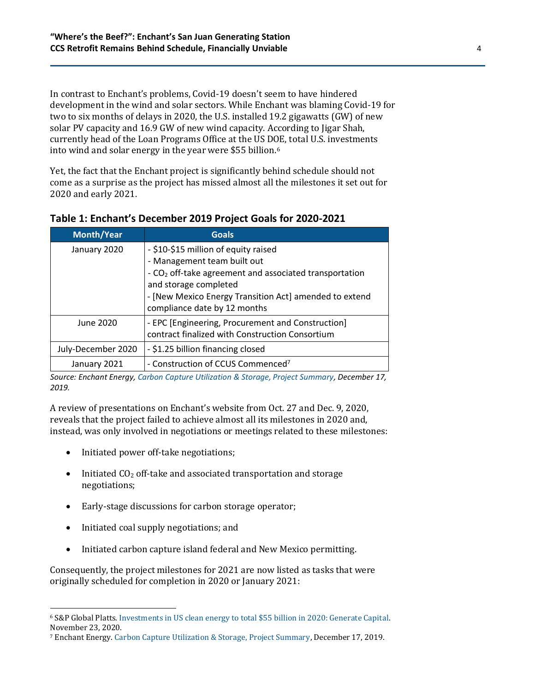In contrast to Enchant's problems, Covid-19 doesn't seem to have hindered development in the wind and solar sectors. While Enchant was blaming Covid-19 for two to six months of delays in 2020, the U.S. installed 19.2 gigawatts (GW) of new solar PV capacity and 16.9 GW of new wind capacity. According to Jigar Shah, currently head of the Loan Programs Office at the US DOE, total U.S. investments into wind and solar energy in the year were \$55 billion.<sup>6</sup>

Yet, the fact that the Enchant project is significantly behind schedule should not come as a surprise as the project has missed almost all the milestones it set out for 2020 and early 2021.

| <b>Month/Year</b>  | <b>Goals</b>                                                                                                                                                                                                                                                 |
|--------------------|--------------------------------------------------------------------------------------------------------------------------------------------------------------------------------------------------------------------------------------------------------------|
| January 2020       | - \$10-\$15 million of equity raised<br>- Management team built out<br>- CO <sub>2</sub> off-take agreement and associated transportation<br>and storage completed<br>- [New Mexico Energy Transition Act] amended to extend<br>compliance date by 12 months |
| June 2020          | - EPC [Engineering, Procurement and Construction]<br>contract finalized with Construction Consortium                                                                                                                                                         |
| July-December 2020 | - \$1.25 billion financing closed                                                                                                                                                                                                                            |
| January 2021       | - Construction of CCUS Commenced <sup>7</sup>                                                                                                                                                                                                                |

**Table 1: Enchant's December 2019 Project Goals for 2020-2021**

*Source: Enchant Energy[, Carbon Capture Utilization & Storage, Project Summary,](http://ieefa.org/wp-content/uploads/2021/05/Enchant-Energy-Presentation-2019-12-17-final.pdf) December 17, 2019.*

A review of presentations on Enchant's website from Oct. 27 and Dec. 9, 2020, reveals that the project failed to achieve almost all its milestones in 2020 and, instead, was only involved in negotiations or meetings related to these milestones:

- Initiated power off-take negotiations;
- Initiated  $CO<sub>2</sub>$  off-take and associated transportation and storage negotiations;
- Early-stage discussions for carbon storage operator;
- Initiated coal supply negotiations; and
- Initiated carbon capture island federal and New Mexico permitting.

Consequently, the project milestones for 2021 are now listed as tasks that were originally scheduled for completion in 2020 or January 2021:

<sup>6</sup> S&P Global Platts. [Investments in US clean energy to total \\$55 billion in 2020: Generate Capital.](https://www.spglobal.com/platts/en/market-insights/latest-news/electric-power/112320-investment-in-us-clean-energy-to-total-55-bil-in-2020-generate-capital) November 23, 2020.

<sup>7</sup> Enchant Energy[. Carbon Capture Utilization & Storage, Project Summary,](http://ieefa.org/wp-content/uploads/2021/05/Enchant-Energy-Presentation-2019-12-17-final.pdf) December 17, 2019.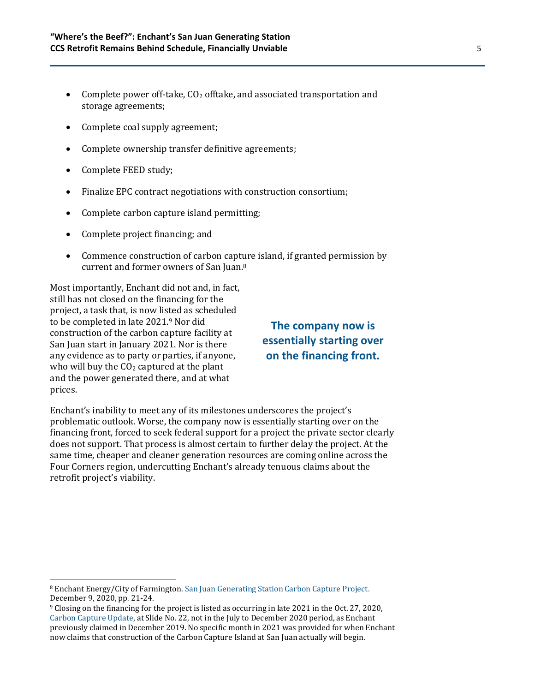- Complete power off-take,  $CO<sub>2</sub>$  offtake, and associated transportation and storage agreements;
- Complete coal supply agreement;
- Complete ownership transfer definitive agreements;
- Complete FEED study;
- Finalize EPC contract negotiations with construction consortium;
- Complete carbon capture island permitting;
- Complete project financing; and
- Commence construction of carbon capture island, if granted permission by current and former owners of San Juan. 8

Most importantly, Enchant did not and, in fact, still has not closed on the financing for the project, a task that, is now listed as scheduled to be completed in late 2021.<sup>9</sup> Nor did construction of the carbon capture facility at San Juan start in January 2021. Nor is there any evidence as to party or parties, if anyone, who will buy the  $CO<sub>2</sub>$  captured at the plant and the power generated there, and at what prices.

#### **The company now is essentially starting over on the financing front.**

Enchant's inability to meet any of its milestones underscores the project's problematic outlook. Worse, the company now is essentially starting over on the financing front, forced to seek federal support for a project the private sector clearly does not support. That process is almost certain to further delay the project. At the same time, cheaper and cleaner generation resources are coming online across the Four Corners region, undercutting Enchant's already tenuous claims about the retrofit project's viability.

<sup>8</sup> Enchant Energy/City of Farmington. [San Juan Generating Station Carbon Capture Project.](https://www.co2conference.net/wp-content/uploads/2021/01/Enchant-Energy-EOR-Carbon-Management-Workshop-Presentation-forweb.pdf)  [December 9, 2020, pp.](https://www.co2conference.net/wp-content/uploads/2021/01/Enchant-Energy-EOR-Carbon-Management-Workshop-Presentation-forweb.pdf) 21-24.

<sup>9</sup> Closing on the financing for the project is listed as occurring in late 2021 in the Oct. 27, 2020, [Carbon Capture Update,](https://www.enchantenergy.com/wp-content/uploads/2020/10/SJGS-Carbon-Capture-Update-October-27-2020.pdf) at Slide No. 22, not in the July to December 2020 period, as Enchant previously claimed in December 2019. No specific month in 2021 was provided for when Enchant now claims that construction of the Carbon Capture Island at San Juan actually will begin.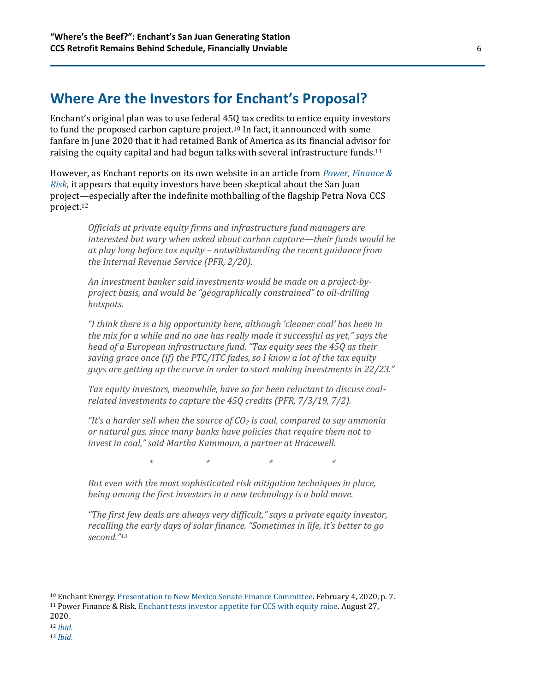#### **Where Are the Investors for Enchant's Proposal?**

Enchant's original plan was to use federal 45Q tax credits to entice equity investors to fund the proposed carbon capture project.<sup>10</sup> In fact, it announced with some fanfare in June 2020 that it had retained Bank of America as its financial advisor for raising the equity capital and had begun talks with several infrastructure funds.<sup>11</sup>

However, as Enchant reports on its own website in an article from *[Power, Finance &](http://www.powerfinancerisk.com/Article/3948433/Enchant-tests-investor-appetite-for-CCS-with-equity-raise.html)  [Risk](http://www.powerfinancerisk.com/Article/3948433/Enchant-tests-investor-appetite-for-CCS-with-equity-raise.html)*, it appears that equity investors have been skeptical about the San Juan project—especially after the indefinite mothballing of the flagship Petra Nova CCS project.<sup>12</sup>

> *Officials at private equity firms and infrastructure fund managers are interested but wary when asked about carbon capture—their funds would be at play long before tax equity – notwithstanding the recent guidance from the Internal Revenue Service (PFR, 2/20).*

*An investment banker said investments would be made on a project-byproject basis, and would be "geographically constrained" to oil-drilling hotspots.*

*"I think there is a big opportunity here, although 'cleaner coal' has been in the mix for a while and no one has really made it successful as yet," says the head of a European infrastructure fund. "Tax equity sees the 45Q as their saving grace once (if) the PTC/ITC fades, so I know a lot of the tax equity guys are getting up the curve in order to start making investments in 22/23."*

*Tax equity investors, meanwhile, have so far been reluctant to discuss coalrelated investments to capture the 45Q credits (PFR, 7/3/19, 7/2).*

*"It's a harder sell when the source of CO<sup>2</sup> is coal, compared to say ammonia or natural gas, since many banks have policies that require them not to invest in coal," said Martha Kammoun, a partner at Bracewell.*

*\* \* \* \**

*But even with the most sophisticated risk mitigation techniques in place, being among the first investors in a new technology is a bold move.*

*"The first few deals are always very difficult," says a private equity investor, recalling the early days of solar finance. "Sometimes in life, it's better to go second."<sup>13</sup>*

<sup>10</sup> Enchant Energy[. Presentation to New Mexico Senate Finance Committee.](https://www.enchantenergy.com/senate-finance-presentation/) February 4, 2020, p. 7. <sup>11</sup> Power Finance & Risk. [Enchant tests investor appetite for CCS with equity raise.](http://www.powerfinancerisk.com/Article/3948433/Enchant-tests-investor-appetite-for-CCS-with-equity-raise.html) August 27,

<sup>2020.</sup>

<sup>12</sup> *[Ibid](https://www.enchantenergy.com/enchant-tests-investor-appetite-for-ccs-with-equity-raise/)*.

<sup>13</sup> *[Ibid](https://www.enchantenergy.com/enchant-tests-investor-appetite-for-ccs-with-equity-raise/)*.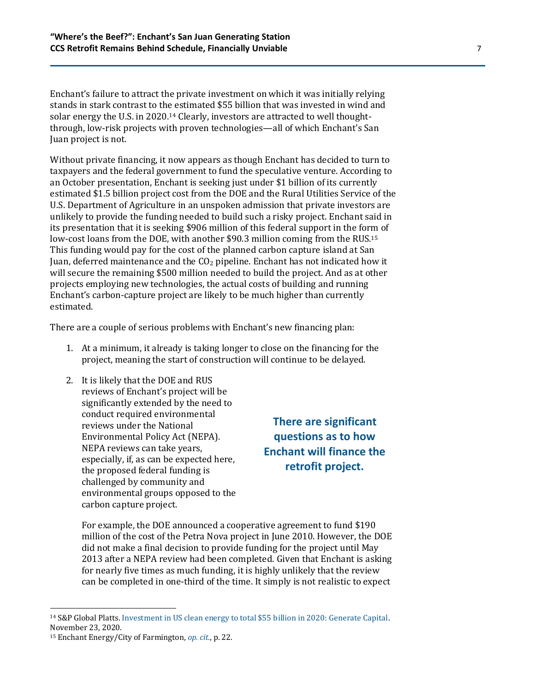Enchant's failure to attract the private investment on which it was initially relying stands in stark contrast to the estimated \$55 billion that was invested in wind and solar energy the U.S. in 2020.<sup>14</sup> Clearly, investors are attracted to well thoughtthrough, low-risk projects with proven technologies—all of which Enchant's San Juan project is not.

Without private financing, it now appears as though Enchant has decided to turn to taxpayers and the federal government to fund the speculative venture. According to an October presentation, Enchant is seeking just under \$1 billion of its currently estimated \$1.5 billion project cost from the DOE and the Rural Utilities Service of the U.S. Department of Agriculture in an unspoken admission that private investors are unlikely to provide the funding needed to build such a risky project. Enchant said in its presentation that it is seeking \$906 million of this federal support in the form of low-cost loans from the DOE, with another \$90.3 million coming from the RUS. 15 This funding would pay for the cost of the planned carbon capture island at San Juan, deferred maintenance and the CO<sup>2</sup> pipeline. Enchant has not indicated how it will secure the remaining \$500 million needed to build the project. And as at other projects employing new technologies, the actual costs of building and running Enchant's carbon-capture project are likely to be much higher than currently estimated.

There are a couple of serious problems with Enchant's new financing plan:

- 1. At a minimum, it already is taking longer to close on the financing for the project, meaning the start of construction will continue to be delayed.
- 2. It is likely that the DOE and RUS reviews of Enchant's project will be significantly extended by the need to conduct required environmental reviews under the National Environmental Policy Act (NEPA). NEPA reviews can take years, especially, if, as can be expected here, the proposed federal funding is challenged by community and environmental groups opposed to the carbon capture project.

**There are significant questions as to how Enchant will finance the retrofit project.**

For example, the DOE announced a cooperative agreement to fund \$190 million of the cost of the Petra Nova project in June 2010. However, the DOE did not make a final decision to provide funding for the project until May 2013 after a NEPA review had been completed. Given that Enchant is asking for nearly five times as much funding, it is highly unlikely that the review can be completed in one-third of the time. It simply is not realistic to expect

<sup>14</sup> S&P Global Platts. [Investment in US clean energy to total \\$55 billion in 2020: Generate Capital.](https://www.spglobal.com/platts/en/market-insights/latest-news/electric-power/112320-investment-in-us-clean-energy-to-total-55-bil-in-2020-generate-capital#:~:text=Houston%20%E2%80%94%20US%20investment%20into%20wind,20.)  November 23, 2020.

<sup>15</sup> Enchant Energy/City of Farmington*, [op. cit.](https://www.co2conference.net/wp-content/uploads/2021/01/Enchant-Energy-EOR-Carbon-Management-Workshop-Presentation-forweb.pdf)*, p. 22.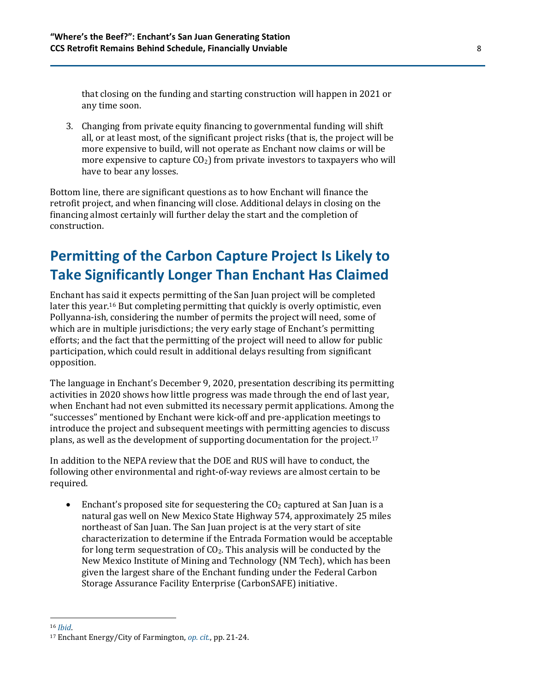that closing on the funding and starting construction will happen in 2021 or any time soon.

3. Changing from private equity financing to governmental funding will shift all, or at least most, of the significant project risks (that is, the project will be more expensive to build, will not operate as Enchant now claims or will be more expensive to capture  $CO<sub>2</sub>$ ) from private investors to taxpayers who will have to bear any losses.

Bottom line, there are significant questions as to how Enchant will finance the retrofit project, and when financing will close. Additional delays in closing on the financing almost certainly will further delay the start and the completion of construction.

# **Permitting of the Carbon Capture Project Is Likely to Take Significantly Longer Than Enchant Has Claimed**

Enchant has said it expects permitting of the San Juan project will be completed later this year.<sup>16</sup> But completing permitting that quickly is overly optimistic, even Pollyanna-ish, considering the number of permits the project will need, some of which are in multiple jurisdictions; the very early stage of Enchant's permitting efforts; and the fact that the permitting of the project will need to allow for public participation, which could result in additional delays resulting from significant opposition.

The language in Enchant's December 9, 2020, presentation describing its permitting activities in 2020 shows how little progress was made through the end of last year, when Enchant had not even submitted its necessary permit applications. Among the "successes" mentioned by Enchant were kick-off and pre-application meetings to introduce the project and subsequent meetings with permitting agencies to discuss plans, as well as the development of supporting documentation for the project.<sup>17</sup>

In addition to the NEPA review that the DOE and RUS will have to conduct, the following other environmental and right-of-way reviews are almost certain to be required.

• Enchant's proposed site for sequestering the  $CO<sub>2</sub>$  captured at San Juan is a natural gas well on New Mexico State Highway 574, approximately 25 miles northeast of San Juan. The San Juan project is at the very start of site characterization to determine if the Entrada Formation would be acceptable for long term sequestration of  $CO<sub>2</sub>$ . This analysis will be conducted by the New Mexico Institute of Mining and Technology (NM Tech), which has been given the largest share of the Enchant funding under the Federal Carbon Storage Assurance Facility Enterprise (CarbonSAFE) initiative.

<sup>16</sup> *[Ibid](https://www.co2conference.net/wp-content/uploads/2021/01/Enchant-Energy-EOR-Carbon-Management-Workshop-Presentation-forweb.pdf)*.

<sup>17</sup> Enchant Energy/City of Farmington, *[op. cit.](https://www.co2conference.net/wp-content/uploads/2021/01/Enchant-Energy-EOR-Carbon-Management-Workshop-Presentation-forweb.pdf)*, pp. 21-24.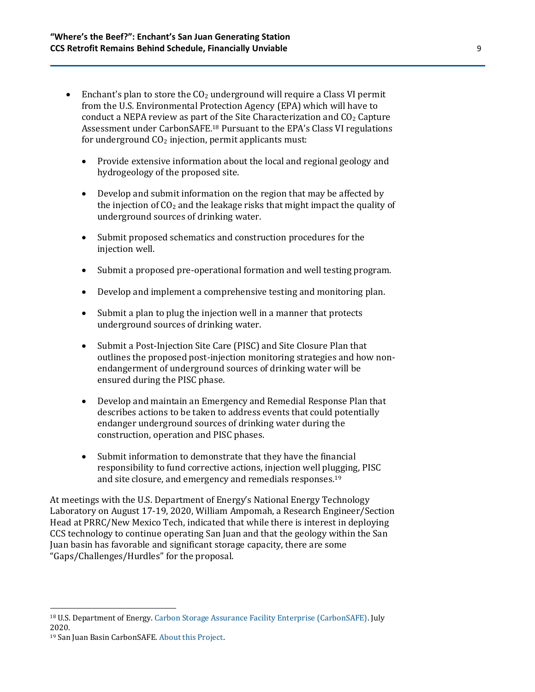- Enchant's plan to store the  $CO<sub>2</sub>$  underground will require a Class VI permit from the U.S. Environmental Protection Agency (EPA) which will have to conduct a NEPA review as part of the Site Characterization and  $CO<sub>2</sub>$  Capture Assessment under CarbonSAFE. <sup>18</sup> Pursuant to the EPA's Class VI regulations for underground  $CO<sub>2</sub>$  injection, permit applicants must:
	- Provide extensive information about the local and regional geology and hydrogeology of the proposed site.
	- Develop and submit information on the region that may be affected by the injection of  $CO<sub>2</sub>$  and the leakage risks that might impact the quality of underground sources of drinking water.
	- Submit proposed schematics and construction procedures for the injection well.
	- Submit a proposed pre-operational formation and well testing program.
	- Develop and implement a comprehensive testing and monitoring plan.
	- Submit a plan to plug the injection well in a manner that protects underground sources of drinking water.
	- Submit a Post-Injection Site Care (PISC) and Site Closure Plan that outlines the proposed post-injection monitoring strategies and how nonendangerment of underground sources of drinking water will be ensured during the PISC phase.
	- Develop and maintain an Emergency and Remedial Response Plan that describes actions to be taken to address events that could potentially endanger underground sources of drinking water during the construction, operation and PISC phases.
	- Submit information to demonstrate that they have the financial responsibility to fund corrective actions, injection well plugging, PISC and site closure, and emergency and remedials responses.<sup>19</sup>

At meetings with the U.S. Department of Energy's National Energy Technology Laboratory on August 17-19, 2020, William Ampomah, a Research Engineer/Section Head at PRRC/New Mexico Tech, indicated that while there is interest in deploying CCS technology to continue operating San Juan and that the geology within the San Juan basin has favorable and significant storage capacity, there are some "Gaps/Challenges/Hurdles" for the proposal.

<sup>18</sup> U.S. Department of Energy. [Carbon Storage Assurance Facility](https://netl.doe.gov/sites/default/files/2020-07/CarbonSAFE-Infographic-July-2020.pdf) Enterprise (CarbonSAFE). July 2020.

<sup>19</sup> San Juan Basin CarbonSAFE[. About this Project.](https://www.sanjuancarbonsafe.org/)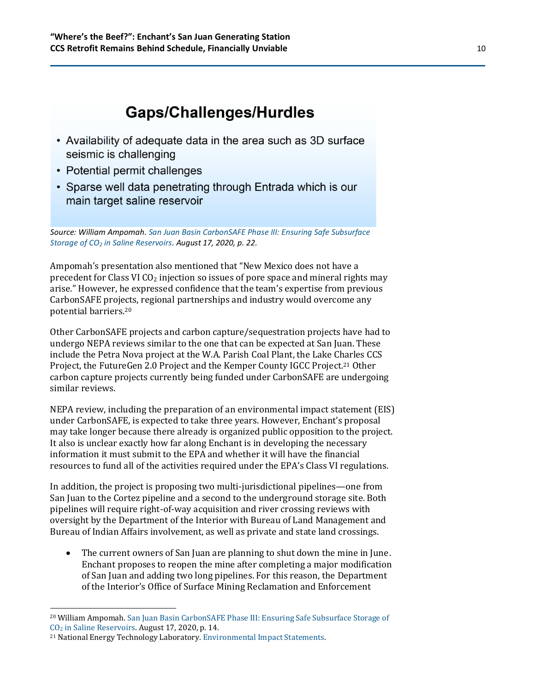# **Gaps/Challenges/Hurdles**

- Availability of adequate data in the area such as 3D surface seismic is challenging
- Potential permit challenges
- Sparse well data penetrating through Entrada which is our main target saline reservoir

*Source: William Ampomah. [San Juan Basin CarbonSAFE Phase III: Ensuring Safe Subsurface](https://netl.doe.gov/sites/default/files/netl-file/20CCUS_Ampomah.pdf)  Storage of CO<sup>2</sup> [in Saline Reservoirs.](https://netl.doe.gov/sites/default/files/netl-file/20CCUS_Ampomah.pdf) August 17, 2020, p. 22.*

Ampomah's presentation also mentioned that "New Mexico does not have a precedent for Class VI  $CO<sub>2</sub>$  injection so issues of pore space and mineral rights may arise." However, he expressed confidence that the team's expertise from previous CarbonSAFE projects, regional partnerships and industry would overcome any potential barriers.<sup>20</sup>

Other CarbonSAFE projects and carbon capture/sequestration projects have had to undergo NEPA reviews similar to the one that can be expected at San Juan. These include the Petra Nova project at the W.A. Parish Coal Plant, the Lake Charles CCS Project, the FutureGen 2.0 Project and the Kemper County IGCC Project.<sup>21</sup> Other carbon capture projects currently being funded under CarbonSAFE are undergoing similar reviews.

NEPA review, including the preparation of an environmental impact statement (EIS) under CarbonSAFE, is expected to take three years. However, Enchant's proposal may take longer because there already is organized public opposition to the project. It also is unclear exactly how far along Enchant is in developing the necessary information it must submit to the EPA and whether it will have the financial resources to fund all of the activities required under the EPA's Class VI regulations.

In addition, the project is proposing two multi-jurisdictional pipelines—one from San Juan to the Cortez pipeline and a second to the underground storage site. Both pipelines will require right-of-way acquisition and river crossing reviews with oversight by the Department of the Interior with Bureau of Land Management and Bureau of Indian Affairs involvement, as well as private and state land crossings.

• The current owners of San Juan are planning to shut down the mine in June. Enchant proposes to reopen the mine after completing a major modification of San Juan and adding two long pipelines. For this reason, the Department of the Interior's Office of Surface Mining Reclamation and Enforcement

<sup>20</sup> William Ampomah. [San Juan Basin CarbonSAFE Phase III: Ensuring Safe Subsurface Storage of](https://netl.doe.gov/sites/default/files/netl-file/20CCUS_Ampomah.pdf)  CO<sup>2</sup> [in Saline Reservoirs.](https://netl.doe.gov/sites/default/files/netl-file/20CCUS_Ampomah.pdf) August 17, 2020, p. 14.

<sup>21</sup> National Energy Technology Laboratory[. Environmental Impact Statements.](https://netl.doe.gov/library/eis)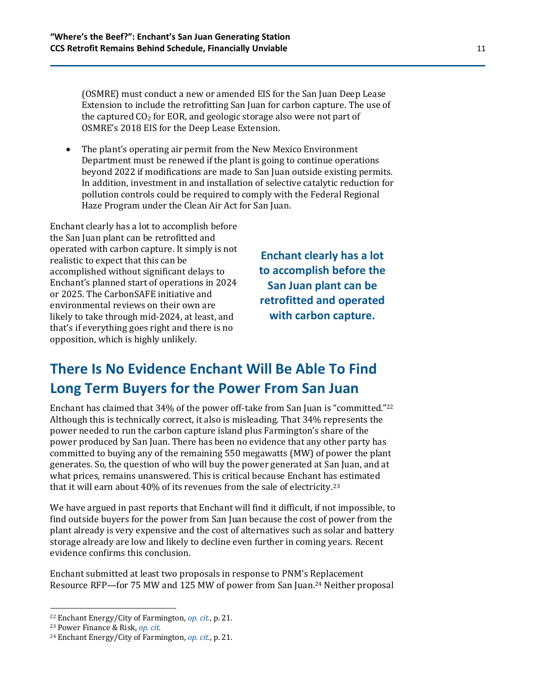(OSMRE) must conduct a new or amended EIS for the San Juan Deep Lease Extension to include the retrofitting San Juan for carbon capture. The use of the captured  $CO<sub>2</sub>$  for EOR, and geologic storage also were not part of OSMRE's 2018 EIS for the Deep Lease Extension.

• The plant's operating air permit from the New Mexico Environment Department must be renewed if the plant is going to continue operations beyond 2022 if modifications are made to San Juan outside existing permits. In addition, investment in and installation of selective catalytic reduction for pollution controls could be required to comply with the Federal Regional Haze Program under the Clean Air Act for San Juan.

Enchant clearly has a lot to accomplish before the San Juan plant can be retrofitted and operated with carbon capture. It simply is not realistic to expect that this can be accomplished without significant delays to Enchant's planned start of operations in 2024 or 2025. The CarbonSAFE initiative and environmental reviews on their own are likely to take through mid-2024, at least, and that's if everything goes right and there is no opposition, which is highly unlikely.

**Enchant clearly has a lot to accomplish before the San Juan plant can be retrofitted and operated with carbon capture.**

# **There Is No Evidence Enchant Will Be Able To Find Long Term Buyers for the Power From San Juan**

Enchant has claimed that 34% of the power off-take from San Juan is "committed."<sup>22</sup> Although this is technically correct, it also is misleading. That 34% represents the power needed to run the carbon capture island plus Farmington's share of the power produced by San Juan. There has been no evidence that any other party has committed to buying any of the remaining 550 megawatts (MW) of power the plant generates. So, the question of who will buy the power generated at San Juan, and at what prices, remains unanswered. This is critical because Enchant has estimated that it will earn about 40% of its revenues from the sale of electricity.<sup>23</sup>

We have argued in past reports that Enchant will find it difficult, if not impossible, to find outside buyers for the power from San Juan because the cost of power from the plant already is very expensive and the cost of alternatives such as solar and battery storage already are low and likely to decline even further in coming years. Recent evidence confirms this conclusion.

Enchant submitted at least two proposals in response to PNM's Replacement Resource RFP—for 75 MW and 125 MW of power from San Juan. <sup>24</sup> Neither proposal

<sup>22</sup> Enchant Energy/City of Farmington*, [op. cit.](https://www.co2conference.net/wp-content/uploads/2021/01/Enchant-Energy-EOR-Carbon-Management-Workshop-Presentation-forweb.pdf)*, p. 21.

<sup>23</sup> [Power](https://www.enchantenergy.com/enchant-tests-investor-appetite-for-ccs-with-equity-raise/) Finance & Risk, *[op. cit.](http://www.powerfinancerisk.com/Article/3948433/Enchant-tests-investor-appetite-for-CCS-with-equity-raise.html)*

<sup>24</sup> Enchant Energy/City of Farmington*, [op. cit.](https://www.co2conference.net/wp-content/uploads/2021/01/Enchant-Energy-EOR-Carbon-Management-Workshop-Presentation-forweb.pdf)*, p. 21.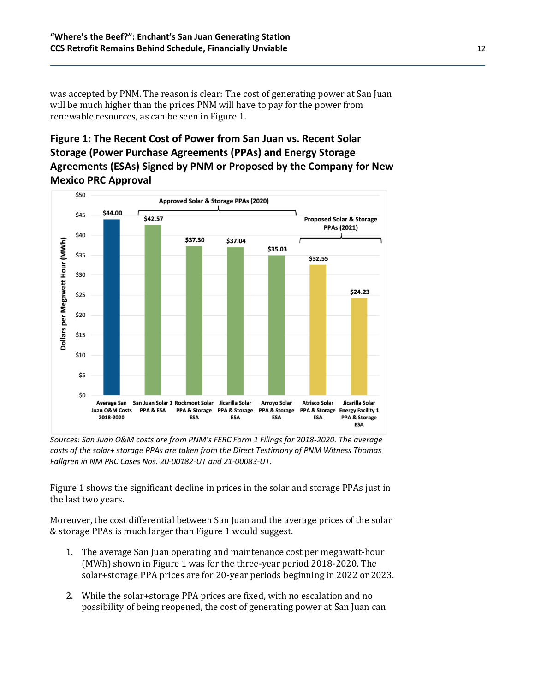was accepted by PNM. The reason is clear: The cost of generating power at San Juan will be much higher than the prices PNM will have to pay for the power from renewable resources, as can be seen in Figure 1.

#### **Figure 1: The Recent Cost of Power from San Juan vs. Recent Solar Storage (Power Purchase Agreements (PPAs) and Energy Storage Agreements (ESAs) Signed by PNM or Proposed by the Company for New Mexico PRC Approval**



*Sources: San Juan O&M costs are from PNM's FERC Form 1 Filings for 2018-2020. The average costs of the solar+ storage PPAs are taken from the Direct Testimony of PNM Witness Thomas Fallgren in NM PRC Cases Nos. 20-00182-UT and 21-00083-UT.*

Figure 1 shows the significant decline in prices in the solar and storage PPAs just in the last two years.

Moreover, the cost differential between San Juan and the average prices of the solar & storage PPAs is much larger than Figure 1 would suggest.

- 1. The average San Juan operating and maintenance cost per megawatt-hour (MWh) shown in Figure 1 was for the three-year period 2018-2020. The solar+storage PPA prices are for 20-year periods beginning in 2022 or 2023.
- 2. While the solar+storage PPA prices are fixed, with no escalation and no possibility of being reopened, the cost of generating power at San Juan can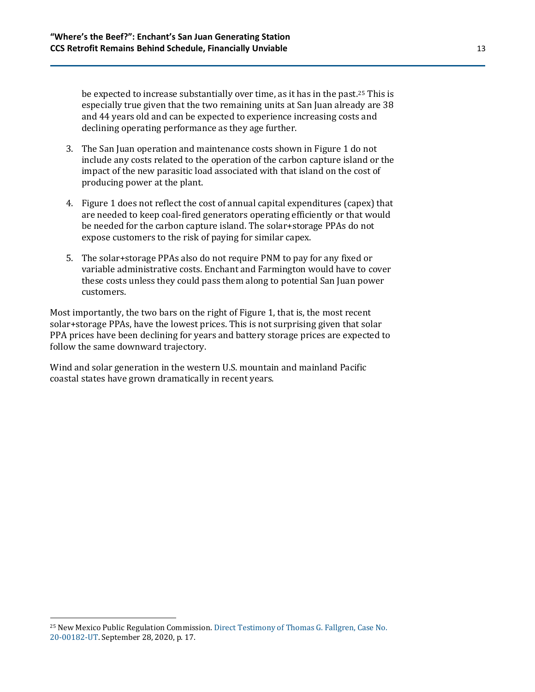be expected to increase substantially over time, as it has in the past.<sup>25</sup> This is especially true given that the two remaining units at San Juan already are 38 and 44 years old and can be expected to experience increasing costs and declining operating performance as they age further.

- 3. The San Juan operation and maintenance costs shown in Figure 1 do not include any costs related to the operation of the carbon capture island or the impact of the new parasitic load associated with that island on the cost of producing power at the plant.
- 4. Figure 1 does not reflect the cost of annual capital expenditures (capex) that are needed to keep coal-fired generators operating efficiently or that would be needed for the carbon capture island. The solar+storage PPAs do not expose customers to the risk of paying for similar capex.
- 5. The solar+storage PPAs also do not require PNM to pay for any fixed or variable administrative costs. Enchant and Farmington would have to cover these costs unless they could pass them along to potential San Juan power customers.

Most importantly, the two bars on the right of Figure 1, that is, the most recent solar+storage PPAs, have the lowest prices. This is not surprising given that solar PPA prices have been declining for years and battery storage prices are expected to follow the same downward trajectory.

Wind and solar generation in the western U.S. mountain and mainland Pacific coastal states have grown dramatically in recent years.

<sup>25</sup> New Mexico Public Regulation Commission. Direct Testimony of [Thomas G. Fallgren, Case No.](https://ieefa.org/wp-content/uploads/2020/10/Direct-Testimony-and-Exhibits-of-Thomas-G-Fallgren_sm.pdf)  [20-00182-UT.](https://ieefa.org/wp-content/uploads/2020/10/Direct-Testimony-and-Exhibits-of-Thomas-G-Fallgren_sm.pdf) September 28, 2020, p. 17.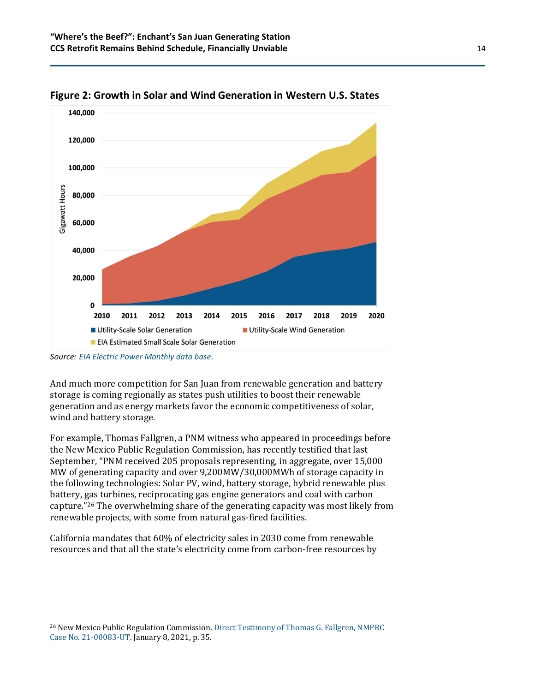

**Figure 2: Growth in Solar and Wind Generation in Western U.S. States**

And much more competition for San Juan from renewable generation and battery storage is coming regionally as states push utilities to boost their renewable generation and as energy markets favor the economic competitiveness of solar, wind and battery storage.

For example, Thomas Fallgren, a PNM witness who appeared in proceedings before the New Mexico Public Regulation Commission, has recently testified that last September, "PNM received 205 proposals representing, in aggregate, over 15,000 MW of generating capacity and over 9,200MW/30,000MWh of storage capacity in the following technologies: Solar PV, wind, battery storage, hybrid renewable plus battery, gas turbines, reciprocating gas engine generators and coal with carbon capture."<sup>26</sup> The overwhelming share of the generating capacity was most likely from renewable projects, with some from natural gas-fired facilities.

California mandates that 60% of electricity sales in 2030 come from renewable resources and that all the state's electricity come from carbon-free resources by

*Source: [EIA Electric Power Monthly data base.](https://www.eia.gov/electricity/monthly/)*

<sup>26</sup> New Mexico Public Regulation Commission[. Direct Testimony of Thomas G. Fallgren, NMPRC](https://www.pnm.com/documents/396023/24299017/6%29+Direct+Testimony+of+Thomas+G.+Fallgren.pdf/6bc9266e-142d-0118-b34f-38a78456029b?t=1617165107835)  [Case No. 21-00083-UT.](https://www.pnm.com/documents/396023/24299017/6%29+Direct+Testimony+of+Thomas+G.+Fallgren.pdf/6bc9266e-142d-0118-b34f-38a78456029b?t=1617165107835) January 8, 2021, p. 35.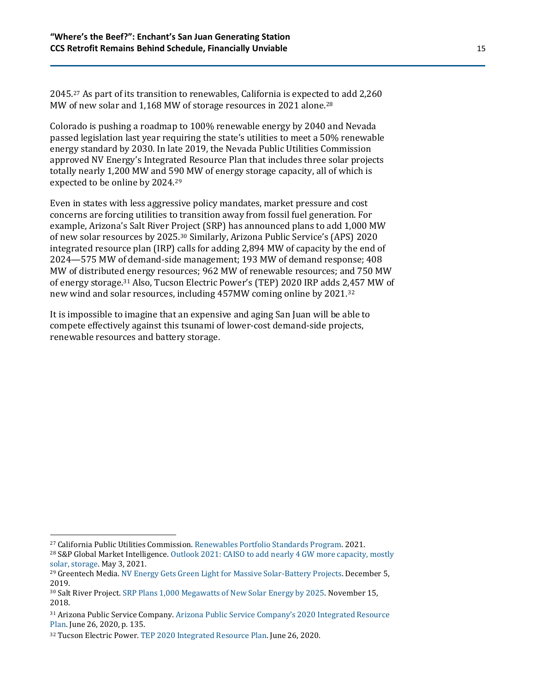2045.<sup>27</sup> As part of its transition to renewables, California is expected to add 2,260 MW of new solar and 1,168 MW of storage resources in 2021 alone.<sup>28</sup>

Colorado is pushing a roadmap to 100% renewable energy by 2040 and Nevada passed legislation last year requiring the state's utilities to meet a 50% renewable energy standard by 2030. In late 2019, the Nevada Public Utilities Commission approved NV Energy's Integrated Resource Plan that includes three solar projects totally nearly 1,200 MW and 590 MW of energy storage capacity, all of which is expected to be online by 2024.<sup>29</sup>

Even in states with less aggressive policy mandates, market pressure and cost concerns are forcing utilities to transition away from fossil fuel generation. For example, Arizona's Salt River Project (SRP) has announced plans to add 1,000 MW of new solar resources by 2025.<sup>30</sup> Similarly, Arizona Public Service's (APS) 2020 integrated resource plan (IRP) calls for adding 2,894 MW of capacity by the end of 2024—575 MW of demand-side management; 193 MW of demand response; 408 MW of distributed energy resources; 962 MW of renewable resources; and 750 MW of energy storage.<sup>31</sup> Also, Tucson Electric Power's (TEP) 2020 IRP adds 2,457 MW of new wind and solar resources, including 457MW coming online by 2021.<sup>32</sup>

It is impossible to imagine that an expensive and aging San Juan will be able to compete effectively against this tsunami of lower-cost demand-side projects, renewable resources and battery storage.

<sup>27</sup> California Public Utilities Commission. [Renewables Portfolio Standards Program.](https://www.cpuc.ca.gov/rps/) 2021.

<sup>&</sup>lt;sup>28</sup> S&P Global Market Intelligence. Outlook 2021: CAISO to add nearly 4 GW more capacity, mostly [solar, storage.](https://platform.marketintelligence.spglobal.com/web/client?auth=inherit#news/article?id=63327480&KeyProductLinkType=58&utm_source=MIAlerts&utm_medium=realtime-minewsresearch-newsfeature-electric%20utilities-data%20dispatch&utm_campaign=Alert_Email) May 3, 2021.

<sup>&</sup>lt;sup>29</sup> Greentech Media. [NV Energy Gets Green Light for Massive Solar-Battery Projects.](https://www.greentechmedia.com/articles/read/nv-energy-gets-green-light-for-massive-solar-battery-projects) December 5, 2019.

<sup>30</sup> Salt River Project[. SRP Plans 1,000 Megawatts of New Solar Energy by 2025.](https://www.srpnet.com/newsroom/releases/111518.aspx) November 15, 2018.

<sup>31</sup> Arizona Public Service Company. [Arizona Public Service Company's 2020 Integrated Resource](https://www.aps.com/-/media/APS/APSCOM-PDFs/About/Our-Company/Doing-business-with-us/Resource-Planning-and-Management/2020IntegratedResourcePlan062620.ashx?la=en&hash=24B8E082028B6DD7338D1E8DA41A1563)  [Plan.](https://www.aps.com/-/media/APS/APSCOM-PDFs/About/Our-Company/Doing-business-with-us/Resource-Planning-and-Management/2020IntegratedResourcePlan062620.ashx?la=en&hash=24B8E082028B6DD7338D1E8DA41A1563) June 26, 2020, p. 135.

<sup>32</sup> Tucson Electric Power[. TEP 2020 Integrated Resource Plan.](https://www.tep.com/tep-2020-integrated-resource-plan/) June 26, 2020.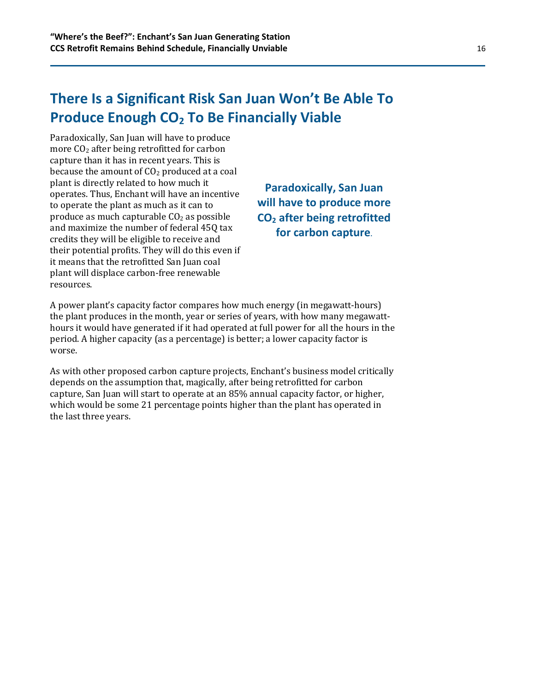# **There Is a Significant Risk San Juan Won't Be Able To Produce Enough CO<sup>2</sup> To Be Financially Viable**

Paradoxically, San Juan will have to produce more CO<sup>2</sup> after being retrofitted for carbon capture than it has in recent years. This is because the amount of  $CO<sub>2</sub>$  produced at a coal plant is directly related to how much it operates. Thus, Enchant will have an incentive to operate the plant as much as it can to produce as much capturable  $CO<sub>2</sub>$  as possible and maximize the number of federal 45Q tax credits they will be eligible to receive and their potential profits. They will do this even if it means that the retrofitted San Juan coal plant will displace carbon-free renewable resources.

**Paradoxically, San Juan will have to produce more CO<sup>2</sup> after being retrofitted for carbon capture.**

A power plant's capacity factor compares how much energy (in megawatt-hours) the plant produces in the month, year or series of years, with how many megawatthours it would have generated if it had operated at full power for all the hours in the period. A higher capacity (as a percentage) is better; a lower capacity factor is worse.

As with other proposed carbon capture projects, Enchant's business model critically depends on the assumption that, magically, after being retrofitted for carbon capture, San Juan will start to operate at an 85% annual capacity factor, or higher, which would be some 21 percentage points higher than the plant has operated in the last three years.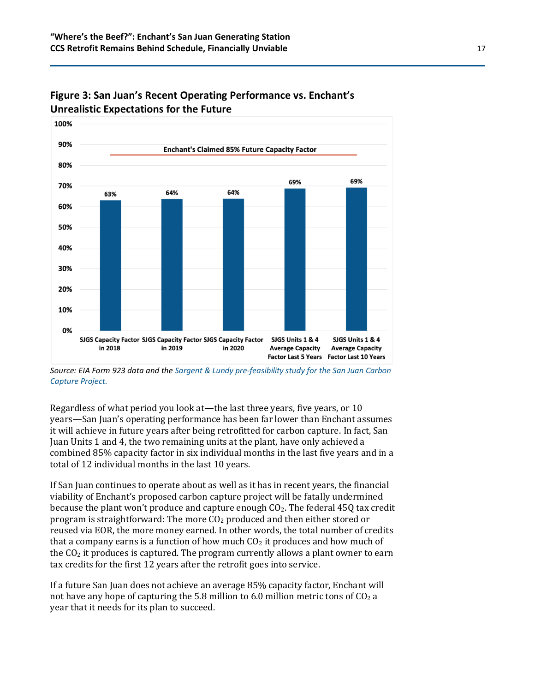

#### **Figure 3: San Juan's Recent Operating Performance vs. Enchant's Unrealistic Expectations for the Future**

*Source: EIA Form 923 data and the [Sargent & Lundy pre-feasibility study for the San Juan Carbon](https://www.enchantenergy.com/sargent-lundy-pre-feasibility-study/)  [Capture Project.](https://www.enchantenergy.com/sargent-lundy-pre-feasibility-study/)*

Regardless of what period you look at—the last three years, five years, or 10 years—San Juan's operating performance has been far lower than Enchant assumes it will achieve in future years after being retrofitted for carbon capture. In fact, San Juan Units 1 and 4, the two remaining units at the plant, have only achieved a combined 85% capacity factor in six individual months in the last five years and in a total of 12 individual months in the last 10 years.

If San Juan continues to operate about as well as it has in recent years, the financial viability of Enchant's proposed carbon capture project will be fatally undermined because the plant won't produce and capture enough  $CO<sub>2</sub>$ . The federal 45Q tax credit program is straightforward: The more  $CO<sub>2</sub>$  produced and then either stored or reused via EOR, the more money earned. In other words, the total number of credits that a company earns is a function of how much  $CO<sub>2</sub>$  it produces and how much of the  $CO<sub>2</sub>$  it produces is captured. The program currently allows a plant owner to earn tax credits for the first 12 years after the retrofit goes into service.

If a future San Juan does not achieve an average 85% capacity factor, Enchant will not have any hope of capturing the 5.8 million to 6.0 million metric tons of  $CO<sub>2</sub>$  a year that it needs for its plan to succeed.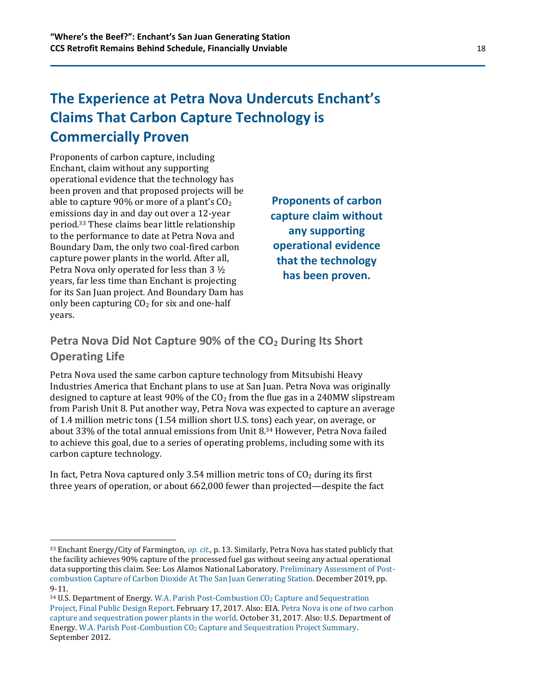### **The Experience at Petra Nova Undercuts Enchant's Claims That Carbon Capture Technology is Commercially Proven**

Proponents of carbon capture, including Enchant, claim without any supporting operational evidence that the technology has been proven and that proposed projects will be able to capture 90% or more of a plant's  $CO<sub>2</sub>$ emissions day in and day out over a 12-year period.<sup>33</sup> These claims bear little relationship to the performance to date at Petra Nova and Boundary Dam, the only two coal-fired carbon capture power plants in the world. After all, Petra Nova only operated for less than 3 ½ years, far less time than Enchant is projecting for its San Juan project. And Boundary Dam has only been capturing  $CO<sub>2</sub>$  for six and one-half years.

**Proponents of carbon capture claim without any supporting operational evidence that the technology has been proven.**

#### **Petra Nova Did Not Capture 90% of the CO<sup>2</sup> During Its Short Operating Life**

Petra Nova used the same carbon capture technology from Mitsubishi Heavy Industries America that Enchant plans to use at San Juan. Petra Nova was originally designed to capture at least 90% of the  $CO<sub>2</sub>$  from the flue gas in a 240MW slipstream from Parish Unit 8. Put another way, Petra Nova was expected to capture an average of 1.4 million metric tons (1.54 million short U.S. tons) each year, on average, or about 33% of the total annual emissions from Unit 8.<sup>34</sup> However, Petra Nova failed to achieve this goal, due to a series of operating problems, including some with its carbon capture technology.

In fact, Petra Nova captured only 3.54 million metric tons of  $CO<sub>2</sub>$  during its first three years of operation, or about 662,000 fewer than projected—despite the fact

<sup>33</sup> Enchant Energy/City of Farmington*, [op. cit.](https://www.co2conference.net/wp-content/uploads/2021/01/Enchant-Energy-EOR-Carbon-Management-Workshop-Presentation-forweb.pdf)*, p. 13. Similarly, Petra Nova has stated publicly that the facility achieves 90% capture of the processed fuel gas without seeing any actual operational data supporting this claim. See: Los Alamos National Laboratory. [Preliminary Assessment of Post](https://www.lanl.gov/science-innovation/science-programs/applied-energy-programs/_assets/docs/preliminary-technical-assessment-december2019.pdf)[combustion Capture of Carbon Dioxide At The San Juan Generating Station.](https://www.lanl.gov/science-innovation/science-programs/applied-energy-programs/_assets/docs/preliminary-technical-assessment-december2019.pdf) December 2019, pp. 9-11.

<sup>&</sup>lt;sup>34</sup> U.S. Department of Energy. [W.A. Parish Post-Combustion CO](https://www.osti.gov/biblio/1344080-parish-post-combustion-co2-capture-sequestration-project-final-public-design-report)<sub>2</sub> Capture and Sequestration [Project, Final Public Design Report.](https://www.osti.gov/biblio/1344080-parish-post-combustion-co2-capture-sequestration-project-final-public-design-report) February 17, 2017. Also: EIA. [Petra Nova is one of two carbon](https://www.eia.gov/todayinenergy/detail.php?id=33552)  [capture and sequestration power plants in the world.](https://www.eia.gov/todayinenergy/detail.php?id=33552) October 31, 2017. Also: U.S. Department of Energy. W.A. Parish Post-Combustion CO<sup>2</sup> [Capture and Sequestration Project Summary.](https://www.netl.doe.gov/sites/default/files/environmental-policy/deis-sept/EIS-0473D_Summary.pdf)  September 2012.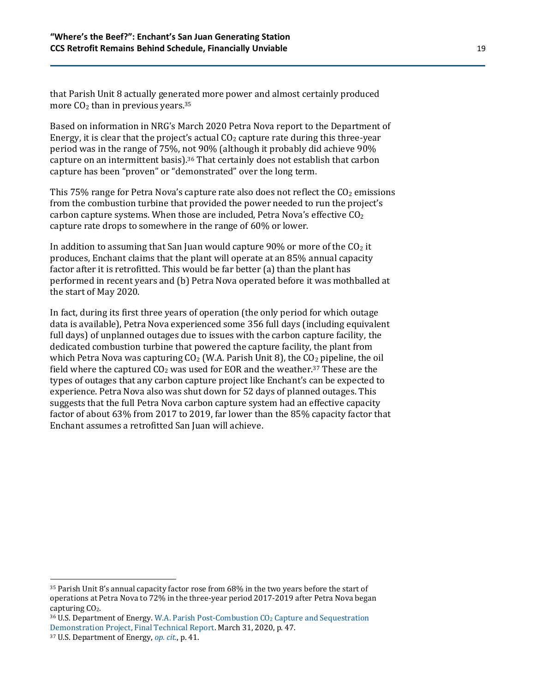that Parish Unit 8 actually generated more power and almost certainly produced more  $CO<sub>2</sub>$  than in previous years.<sup>35</sup>

Based on information in NRG's March 2020 Petra Nova report to the Department of Energy, it is clear that the project's actual  $CO<sub>2</sub>$  capture rate during this three-year period was in the range of 75%, not 90% (although it probably did achieve 90% capture on an intermittent basis).<sup>36</sup> That certainly does not establish that carbon capture has been "proven" or "demonstrated" over the long term.

This 75% range for Petra Nova's capture rate also does not reflect the  $CO<sub>2</sub>$  emissions from the combustion turbine that provided the power needed to run the project's carbon capture systems. When those are included, Petra Nova's effective  $CO<sub>2</sub>$ capture rate drops to somewhere in the range of 60% or lower.

In addition to assuming that San Juan would capture 90% or more of the  $CO<sub>2</sub>$  it produces, Enchant claims that the plant will operate at an 85% annual capacity factor after it is retrofitted. This would be far better (a) than the plant has performed in recent years and (b) Petra Nova operated before it was mothballed at the start of May 2020.

In fact, during its first three years of operation (the only period for which outage data is available), Petra Nova experienced some 356 full days (including equivalent full days) of unplanned outages due to issues with the carbon capture facility, the dedicated combustion turbine that powered the capture facility, the plant from which Petra Nova was capturing  $CO<sub>2</sub>$  (W.A. Parish Unit 8), the  $CO<sub>2</sub>$  pipeline, the oil field where the captured  $CO<sub>2</sub>$  was used for EOR and the weather.<sup>37</sup> These are the types of outages that any carbon capture project like Enchant's can be expected to experience. Petra Nova also was shut down for 52 days of planned outages. This suggests that the full Petra Nova carbon capture system had an effective capacity factor of about 63% from 2017 to 2019, far lower than the 85% capacity factor that Enchant assumes a retrofitted San Juan will achieve.

<sup>35</sup> Parish Unit 8's annual capacity factor rose from 68% in the two years before the start of operations at Petra Nova to 72% in the three-year period 2017-2019 after Petra Nova began capturing CO<sub>2</sub>.

<sup>36</sup> U.S. Department of Energy. W.A. Parish Post-Combustion CO<sup>2</sup> [Capture and Sequestration](https://www.osti.gov/servlets/purl/1608572)  [Demonstration Project, Final Technical Report.](https://www.osti.gov/servlets/purl/1608572) March 31, 2020, p. 47.

<sup>37</sup> U.S. Department of Energy, *[op. cit.](https://www.osti.gov/servlets/purl/1608572)*, p. 41.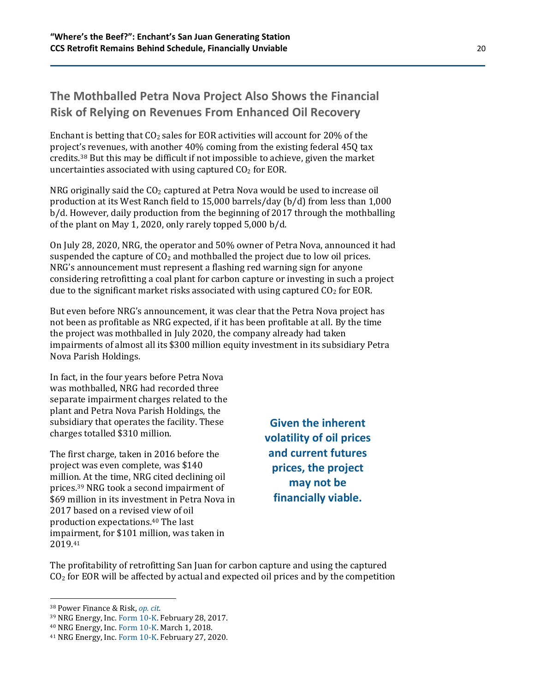#### **The Mothballed Petra Nova Project Also Shows the Financial Risk of Relying on Revenues From Enhanced Oil Recovery**

Enchant is betting that  $CO<sub>2</sub>$  sales for EOR activities will account for 20% of the project's revenues, with another 40% coming from the existing federal 45Q tax credits.<sup>38</sup> But this may be difficult if not impossible to achieve, given the market uncertainties associated with using captured  $CO<sub>2</sub>$  for EOR.

NRG originally said the  $CO<sub>2</sub>$  captured at Petra Nova would be used to increase oil production at its West Ranch field to 15,000 barrels/day (b/d) from less than 1,000 b/d. However, daily production from the beginning of 2017 through the mothballing of the plant on May 1, 2020, only rarely topped 5,000 b/d.

On July 28, 2020, NRG, the operator and 50% owner of Petra Nova, announced it had suspended the capture of  $CO<sub>2</sub>$  and mothballed the project due to low oil prices. NRG's announcement must represent a flashing red warning sign for anyone considering retrofitting a coal plant for carbon capture or investing in such a project due to the significant market risks associated with using captured  $CO<sub>2</sub>$  for EOR.

But even before NRG's announcement, it was clear that the Petra Nova project has not been as profitable as NRG expected, if it has been profitable at all. By the time the project was mothballed in July 2020, the company already had taken impairments of almost all its \$300 million equity investment in its subsidiary Petra Nova Parish Holdings.

In fact, in the four years before Petra Nova was mothballed, NRG had recorded three separate impairment charges related to the plant and Petra Nova Parish Holdings, the subsidiary that operates the facility. These charges totalled \$310 million.

The first charge, taken in 2016 before the project was even complete, was \$140 million. At the time, NRG cited declining oil prices. <sup>39</sup> NRG took a second impairment of \$69 million in its investment in Petra Nova in 2017 based on a revised view of oil production expectations.<sup>40</sup> The last impairment, for \$101 million, was taken in 2019.<sup>41</sup>

**Given the inherent volatility of oil prices and current futures prices, the project may not be financially viable.**

The profitability of retrofitting San Juan for carbon capture and using the captured  $CO<sub>2</sub>$  for EOR will be affected by actual and expected oil prices and by the competition

<sup>38</sup> [Power](https://www.enchantenergy.com/enchant-tests-investor-appetite-for-ccs-with-equity-raise/) Finance & Risk, *[op. cit.](http://www.powerfinancerisk.com/Article/3948433/Enchant-tests-investor-appetite-for-CCS-with-equity-raise.html)*

<sup>39</sup> NRG Energy, Inc. [Form](https://investors.nrg.com/node/25486/html) 10-K. February 28, 2017.

<sup>40</sup> NRG Energy, Inc. [Form](https://investors.nrg.com/static-files/7f12dcd9-bc0b-40c7-87aa-78f8616d663e) 10-K. March 1, 2018.

<sup>41</sup> NRG Energy, Inc. [Form](https://investors.nrg.com/static-files/961540bb-0ba2-4b4a-968e-b49c5dc59977) 10-K. February 27, 2020.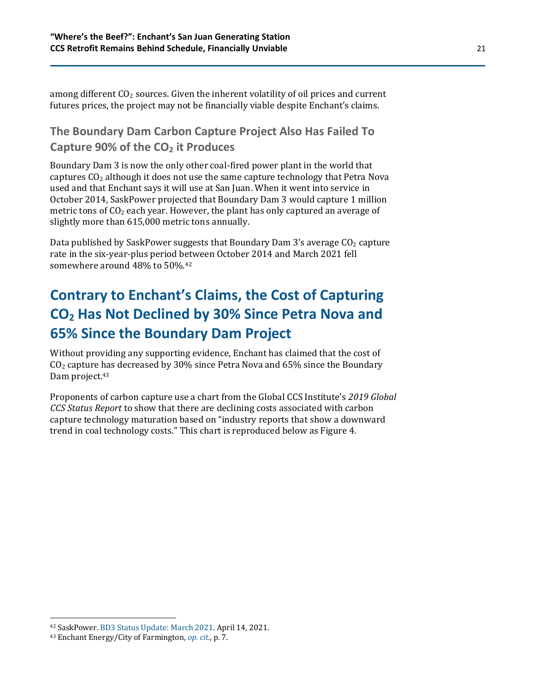among different  $CO<sub>2</sub>$  sources. Given the inherent volatility of oil prices and current futures prices, the project may not be financially viable despite Enchant's claims.

#### **The Boundary Dam Carbon Capture Project Also Has Failed To Capture 90% of the CO<sup>2</sup> it Produces**

Boundary Dam 3 is now the only other coal-fired power plant in the world that captures  $CO<sub>2</sub>$  although it does not use the same capture technology that Petra Nova used and that Enchant says it will use at San Juan. When it went into service in October 2014, SaskPower projected that Boundary Dam 3 would capture 1 million metric tons of  $CO<sub>2</sub>$  each year. However, the plant has only captured an average of slightly more than 615,000 metric tons annually.

Data published by SaskPower suggests that Boundary Dam 3's average  $CO<sub>2</sub>$  capture rate in the six-year-plus period between October 2014 and March 2021 fell somewhere around 48% to 50%. 42

# **Contrary to Enchant's Claims, the Cost of Capturing CO<sup>2</sup> Has Not Declined by 30% Since Petra Nova and 65% Since the Boundary Dam Project**

Without providing any supporting evidence, Enchant has claimed that the cost of  $CO<sub>2</sub>$  capture has decreased by 30% since Petra Nova and 65% since the Boundary Dam project.<sup>43</sup>

Proponents of carbon capture use a chart from the Global CCS Institute's *2019 Global CCS Status Report* to show that there are declining costs associated with carbon capture technology maturation based on "industry reports that show a downward trend in coal technology costs." This chart is reproduced below as Figure 4.

<sup>42</sup> SaskPower. [BD3 Status Update: March 2021.](https://www.saskpower.com/about-us/our-company/blog/2021/bd3-status-update-march-2021) April 14, 2021.

<sup>43</sup> Enchant Energy/City of Farmington*, [op. cit.](https://www.co2conference.net/wp-content/uploads/2021/01/Enchant-Energy-EOR-Carbon-Management-Workshop-Presentation-forweb.pdf)*, p. 7.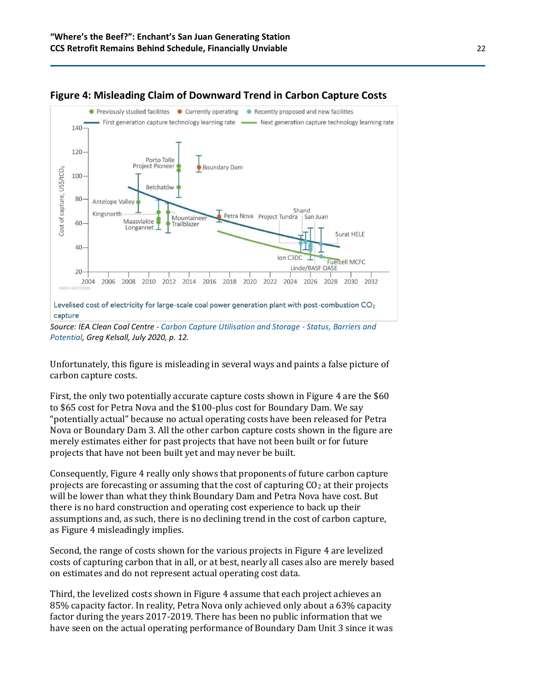

#### **Figure 4: Misleading Claim of Downward Trend in Carbon Capture Costs**

*Source: IEA Clean Coal Centre - [Carbon Capture Utilisation and Storage -](https://www.iea-coal.org/report/carbon-capture-utilisation-and-storage-status-barriers-and-potential-ccc-304/) Status, Barriers and [Potential,](https://www.iea-coal.org/report/carbon-capture-utilisation-and-storage-status-barriers-and-potential-ccc-304/) Greg Kelsall, July 2020, p. 12.*

Unfortunately, this figure is misleading in several ways and paints a false picture of carbon capture costs.

First, the only two potentially accurate capture costs shown in Figure 4 are the \$60 to \$65 cost for Petra Nova and the \$100-plus cost for Boundary Dam. We say "potentially actual" because no actual operating costs have been released for Petra Nova or Boundary Dam 3. All the other carbon capture costs shown in the figure are merely estimates either for past projects that have not been built or for future projects that have not been built yet and may never be built.

Consequently, Figure 4 really only shows that proponents of future carbon capture projects are forecasting or assuming that the cost of capturing  $CO<sub>2</sub>$  at their projects will be lower than what they think Boundary Dam and Petra Nova have cost. But there is no hard construction and operating cost experience to back up their assumptions and, as such, there is no declining trend in the cost of carbon capture, as Figure 4 misleadingly implies.

Second, the range of costs shown for the various projects in Figure 4 are levelized costs of capturing carbon that in all, or at best, nearly all cases also are merely based on estimates and do not represent actual operating cost data.

Third, the levelized costs shown in Figure 4 assume that each project achieves an 85% capacity factor. In reality, Petra Nova only achieved only about a 63% capacity factor during the years 2017-2019. There has been no public information that we have seen on the actual operating performance of Boundary Dam Unit 3 since it was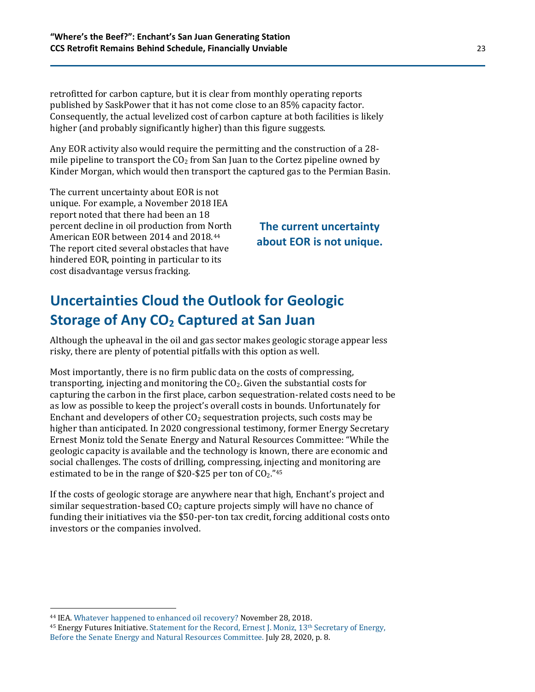retrofitted for carbon capture, but it is clear from monthly operating reports published by SaskPower that it has not come close to an 85% capacity factor. Consequently, the actual levelized cost of carbon capture at both facilities is likely higher (and probably significantly higher) than this figure suggests.

Any EOR activity also would require the permitting and the construction of a 28 mile pipeline to transport the  $CO<sub>2</sub>$  from San Juan to the Cortez pipeline owned by Kinder Morgan, which would then transport the captured gas to the Permian Basin.

The current uncertainty about EOR is not unique. For example, a November 2018 IEA report noted that there had been an 18 percent decline in oil production from North American EOR between 2014 and 2018.<sup>44</sup> The report cited several obstacles that have hindered EOR, pointing in particular to its cost disadvantage versus fracking.

#### **The current uncertainty about EOR is not unique.**

# **Uncertainties Cloud the Outlook for Geologic Storage of Any CO<sup>2</sup> Captured at San Juan**

Although the upheaval in the oil and gas sector makes geologic storage appear less risky, there are plenty of potential pitfalls with this option as well.

Most importantly, there is no firm public data on the costs of compressing, transporting, injecting and monitoring the  $CO<sub>2</sub>$ . Given the substantial costs for capturing the carbon in the first place, carbon sequestration-related costs need to be as low as possible to keep the project's overall costs in bounds. Unfortunately for Enchant and developers of other  $CO<sub>2</sub>$  sequestration projects, such costs may be higher than anticipated. In 2020 congressional testimony, former Energy Secretary Ernest Moniz told the Senate Energy and Natural Resources Committee: "While the geologic capacity is available and the technology is known, there are economic and social challenges. The costs of drilling, compressing, injecting and monitoring are estimated to be in the range of \$20-\$25 per ton of  $CO<sub>2</sub>$ ."<sup>45</sup>

If the costs of geologic storage are anywhere near that high, Enchant's project and similar sequestration-based  $CO<sub>2</sub>$  capture projects simply will have no chance of funding their initiatives via the \$50-per-ton tax credit, forcing additional costs onto investors or the companies involved.

<sup>44</sup> IEA. [Whatever happened to enhanced oil recovery?](https://www.iea.org/commentaries/whatever-happened-to-enhanced-oil-recovery) November 28, 2018.

 $45$  Energy Futures Initiative. Statement for the Record, Ernest J. Moniz,  $13<sup>th</sup>$  Secretary of Energy, Before [the Senate Energy and Natural Resources Committee.](https://www.energy.senate.gov/public/index.cfm/files/serve?File_id=B4D86286-AA5A-45C6-93B7-07D4F3791B0D) July 28, 2020, p. 8.